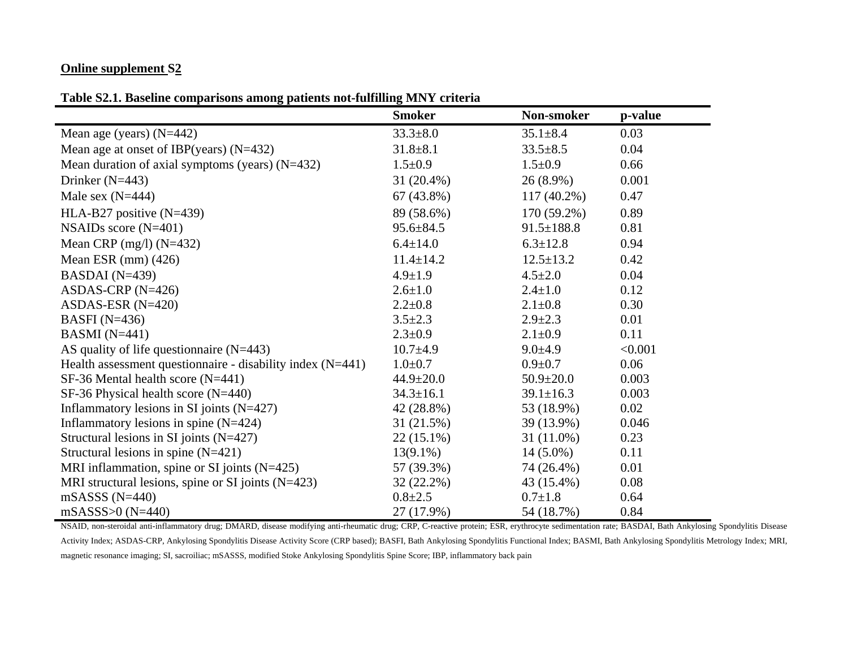### **Online supplement S2**

**Table S2.1. Baseline comparisons among patients not-fulfilling MNY criteria** 

|                                                              | <b>Smoker</b>   | Non-smoker       | p-value |
|--------------------------------------------------------------|-----------------|------------------|---------|
| Mean age (years) $(N=442)$                                   | $33.3 \pm 8.0$  | $35.1 \pm 8.4$   | 0.03    |
| Mean age at onset of IBP(years) $(N=432)$                    | $31.8 \pm 8.1$  | $33.5 \pm 8.5$   | 0.04    |
| Mean duration of axial symptoms (years) $(N=432)$            | $1.5 \pm 0.9$   | $1.5 \pm 0.9$    | 0.66    |
| Drinker $(N=443)$                                            | $31(20.4\%)$    | $26(8.9\%)$      | 0.001   |
| Male sex $(N=444)$                                           | $67(43.8\%)$    | $117(40.2\%)$    | 0.47    |
| HLA-B27 positive $(N=439)$                                   | 89 (58.6%)      | 170 (59.2%)      | 0.89    |
| NSAIDs score $(N=401)$                                       | $95.6 \pm 84.5$ | $91.5 \pm 188.8$ | 0.81    |
| Mean CRP $(mg/l)$ (N=432)                                    | $6.4 \pm 14.0$  | $6.3 \pm 12.8$   | 0.94    |
| Mean ESR $(mm)$ (426)                                        | $11.4 \pm 14.2$ | $12.5 \pm 13.2$  | 0.42    |
| BASDAI $(N=439)$                                             | $4.9 \pm 1.9$   | $4.5 \pm 2.0$    | 0.04    |
| ASDAS-CRP $(N=426)$                                          | $2.6 \pm 1.0$   | $2.4 \pm 1.0$    | 0.12    |
| ASDAS-ESR $(N=420)$                                          | $2.2 \pm 0.8$   | $2.1 \pm 0.8$    | 0.30    |
| BASFI $(N=436)$                                              | $3.5 \pm 2.3$   | $2.9 \pm 2.3$    | 0.01    |
| BASMI $(N=441)$                                              | $2.3 \pm 0.9$   | $2.1 \pm 0.9$    | 0.11    |
| AS quality of life question aire $(N=443)$                   | $10.7 \pm 4.9$  | $9.0 \pm 4.9$    | < 0.001 |
| Health assessment questionnaire - disability index $(N=441)$ | $1.0 \pm 0.7$   | $0.9 \pm 0.7$    | 0.06    |
| $SF-36$ Mental health score (N=441)                          | $44.9 \pm 20.0$ | $50.9 \pm 20.0$  | 0.003   |
| $SF-36$ Physical health score (N=440)                        | $34.3 \pm 16.1$ | $39.1 \pm 16.3$  | 0.003   |
| Inflammatory lesions in SI joints $(N=427)$                  | 42 (28.8%)      | 53 (18.9%)       | 0.02    |
| Inflammatory lesions in spine $(N=424)$                      | 31 (21.5%)      | 39 (13.9%)       | 0.046   |
| Structural lesions in SI joints $(N=427)$                    | $22(15.1\%)$    | $31(11.0\%)$     | 0.23    |
| Structural lesions in spine $(N=421)$                        | $13(9.1\%)$     | $14(5.0\%)$      | 0.11    |
| MRI inflammation, spine or SI joints $(N=425)$               | 57 (39.3%)      | 74 (26.4%)       | 0.01    |
| MRI structural lesions, spine or SI joints $(N=423)$         | $32(22.2\%)$    | 43 (15.4%)       | 0.08    |
| $mSASSS (N=440)$                                             | $0.8 \pm 2.5$   | $0.7 \pm 1.8$    | 0.64    |
| $mSASSS > 0 (N=440)$                                         | 27 (17.9%)      | 54 (18.7%)       | 0.84    |

NSAID, non-steroidal anti-inflammatory drug; DMARD, disease modifying anti-rheumatic drug; CRP, C-reactive protein; ESR, erythrocyte sedimentation rate; BASDAI, Bath Ankylosing Spondylitis Disease Activity Index; ASDAS-CRP, Ankylosing Spondylitis Disease Activity Score (CRP based); BASFI, Bath Ankylosing Spondylitis Functional Index; BASMI, Bath Ankylosing Spondylitis Metrology Index; MRI, magnetic resonance imaging; SI, sacroiliac; mSASSS, modified Stoke Ankylosing Spondylitis Spine Score; IBP, inflammatory back pain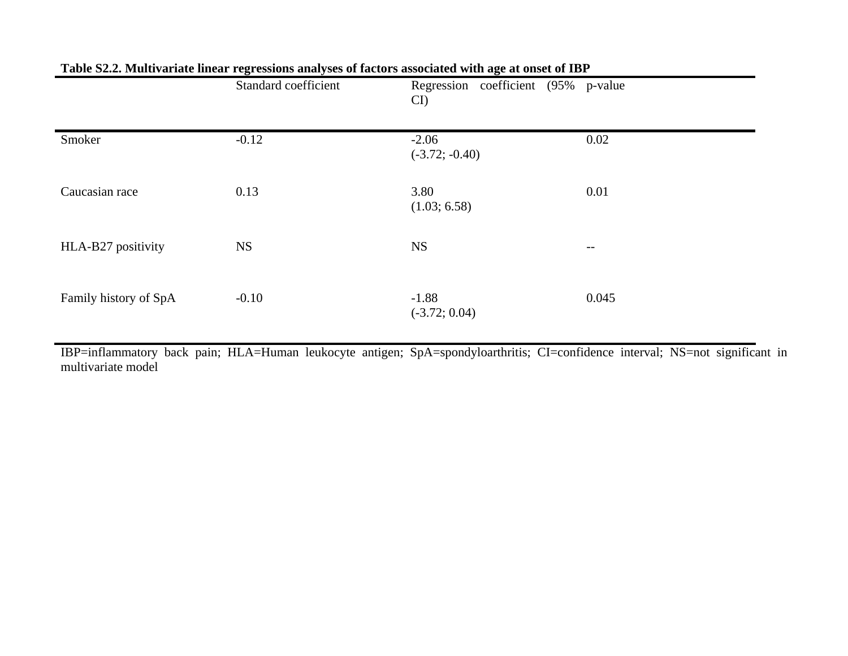|                       | Standard coefficient | Regression coefficient (95% p-value<br>CI) |       |
|-----------------------|----------------------|--------------------------------------------|-------|
| Smoker                | $-0.12$              | $-2.06$<br>$(-3.72; -0.40)$                | 0.02  |
| Caucasian race        | 0.13                 | 3.80<br>(1.03; 6.58)                       | 0.01  |
| HLA-B27 positivity    | <b>NS</b>            | <b>NS</b>                                  | $--$  |
| Family history of SpA | $-0.10$              | $-1.88$<br>$(-3.72; 0.04)$                 | 0.045 |

## **Table S2.2. Multivariate linear regressions analyses of factors associated with age at onset of IBP**

IBP=inflammatory back pain; HLA=Human leukocyte antigen; SpA=spondyloarthritis; CI=confidence interval; NS=not significant in multivariate model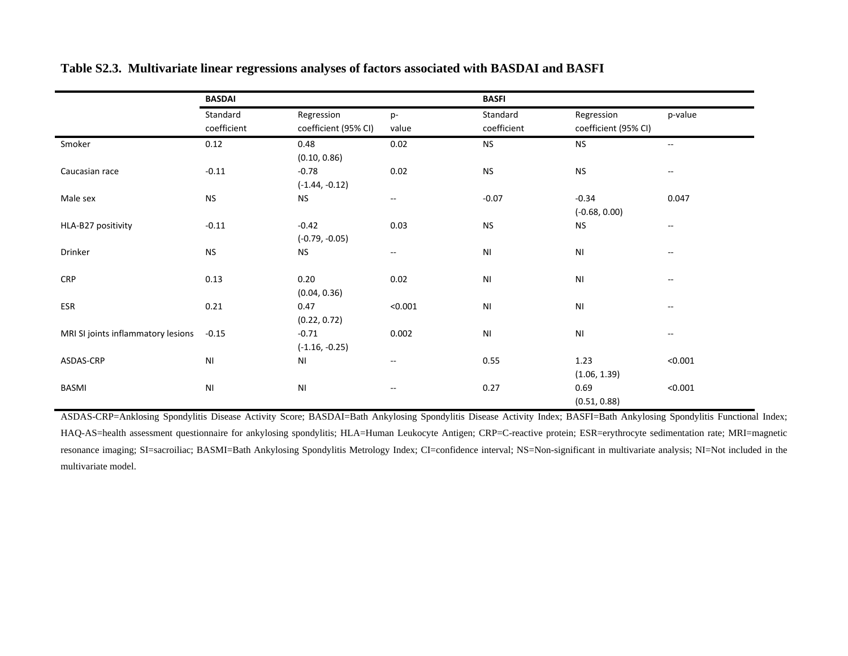|                                    | <b>BASDAI</b>          |                        |                                               | <b>BASFI</b>           |                        |                          |
|------------------------------------|------------------------|------------------------|-----------------------------------------------|------------------------|------------------------|--------------------------|
|                                    | Standard               | Regression             | p-                                            | Standard               | Regression             | p-value                  |
|                                    | coefficient            | coefficient (95% CI)   | value                                         | coefficient            | coefficient (95% CI)   |                          |
| Smoker                             | 0.12                   | 0.48                   | 0.02                                          | <b>NS</b>              | <b>NS</b>              | $\overline{\phantom{a}}$ |
|                                    |                        | (0.10, 0.86)           |                                               |                        |                        |                          |
| Caucasian race                     | $-0.11$                | $-0.78$                | 0.02                                          | <b>NS</b>              | ${\sf NS}$             | $\overline{\phantom{m}}$ |
|                                    |                        | $(-1.44, -0.12)$       |                                               |                        |                        |                          |
| Male sex                           | <b>NS</b>              | <b>NS</b>              | $\mathord{\hspace{1pt}\text{--}\hspace{1pt}}$ | $-0.07$                | $-0.34$                | 0.047                    |
|                                    |                        |                        |                                               |                        | $(-0.68, 0.00)$        |                          |
| HLA-B27 positivity                 | $-0.11$                | $-0.42$                | 0.03                                          | <b>NS</b>              | <b>NS</b>              | $- -$                    |
|                                    |                        | $(-0.79, -0.05)$       |                                               |                        |                        |                          |
| Drinker                            | <b>NS</b>              | <b>NS</b>              | $- -$                                         | NI                     | $\mathsf{N}\mathsf{I}$ | --                       |
|                                    |                        |                        |                                               |                        |                        |                          |
| <b>CRP</b>                         | 0.13                   | 0.20                   | 0.02                                          | NI                     | NI                     | $\sim$ $\sim$            |
|                                    |                        | (0.04, 0.36)           |                                               |                        |                        |                          |
| ESR                                | 0.21                   | 0.47                   | < 0.001                                       | $\mathsf{N}\mathsf{I}$ | $\mathsf{N}\mathsf{I}$ | $-$                      |
|                                    |                        | (0.22, 0.72)           |                                               |                        |                        |                          |
| MRI SI joints inflammatory lesions | $-0.15$                | $-0.71$                | 0.002                                         | $\mathsf{N}\mathsf{I}$ | $\mathsf{N}\mathsf{I}$ | --                       |
|                                    |                        | $(-1.16, -0.25)$       |                                               |                        |                        |                          |
| ASDAS-CRP                          | $\mathsf{N}\mathsf{I}$ | ΝI                     | $\mathord{\hspace{1pt}\text{--}\hspace{1pt}}$ | 0.55                   | 1.23                   | < 0.001                  |
|                                    |                        |                        |                                               |                        | (1.06, 1.39)           |                          |
| BASMI                              | $\mathsf{N}\mathsf{I}$ | $\mathsf{N}\mathsf{I}$ | $\overline{\phantom{m}}$                      | 0.27                   | 0.69                   | < 0.001                  |
|                                    |                        |                        |                                               |                        | (0.51, 0.88)           |                          |

#### **Table S2.3. Multivariate linear regressions analyses of factors associated with BASDAI and BASFI**

ASDAS-CRP=Anklosing Spondylitis Disease Activity Score; BASDAI=Bath Ankylosing Spondylitis Disease Activity Index; BASFI=Bath Ankylosing Spondylitis Functional Index; HAQ-AS=health assessment questionnaire for ankylosing spondylitis; HLA=Human Leukocyte Antigen; CRP=C-reactive protein; ESR=erythrocyte sedimentation rate; MRI=magnetic resonance imaging; SI=sacroiliac; BASMI=Bath Ankylosing Spondylitis Metrology Index; CI=confidence interval; NS=Non-significant in multivariate analysis; NI=Not included in the multivariate model.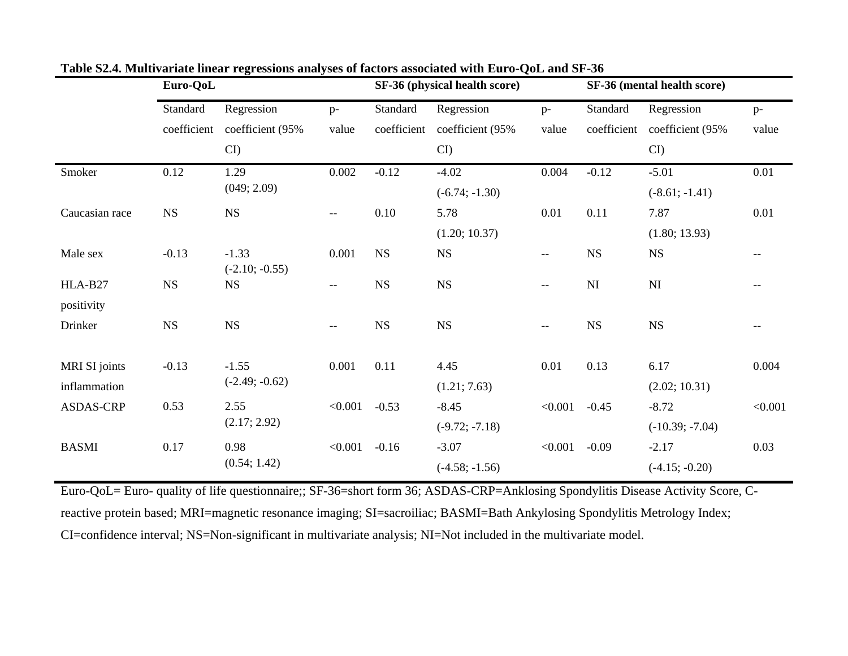|                | Euro-QoL    |                  | SF-36 (physical health score) |             |                  | SF-36 (mental health score) |                        |                              |                          |
|----------------|-------------|------------------|-------------------------------|-------------|------------------|-----------------------------|------------------------|------------------------------|--------------------------|
|                | Standard    | Regression       | $p-$                          | Standard    | Regression       | $p-$                        | Standard               | Regression                   | $p-$                     |
|                | coefficient | coefficient (95% | value                         | coefficient | coefficient (95% | value                       |                        | coefficient coefficient (95% | value                    |
|                |             | $CI$ )           |                               |             | CI               |                             |                        | $CI$ )                       |                          |
| Smoker         | 0.12        | 1.29             | 0.002                         | $-0.12$     | $-4.02$          | 0.004                       | $-0.12$                | $-5.01$                      | 0.01                     |
|                |             | (049; 2.09)      |                               |             | $(-6.74; -1.30)$ |                             |                        | $(-8.61; -1.41)$             |                          |
| Caucasian race | $_{\rm NS}$ | $_{\rm NS}$      | $- -$                         | 0.10        | 5.78             | 0.01                        | 0.11                   | 7.87                         | 0.01                     |
|                |             |                  |                               |             | (1.20; 10.37)    |                             |                        | (1.80; 13.93)                |                          |
| Male sex       | $-0.13$     | $-1.33$          | 0.001                         | <b>NS</b>   | NS               | --                          | <b>NS</b>              | $_{\rm NS}$                  | $\overline{\phantom{m}}$ |
|                |             | $(-2.10; -0.55)$ |                               |             |                  |                             |                        |                              |                          |
| HLA-B27        | $_{\rm NS}$ | <b>NS</b>        | $--$                          | $_{\rm NS}$ | $_{\rm NS}$      | --                          | $\mathbf{N}\mathbf{I}$ | $\mathbf{N}\mathbf{I}$       |                          |
| positivity     |             |                  |                               |             |                  |                             |                        |                              |                          |
| Drinker        | $_{\rm NS}$ | <b>NS</b>        | $--$                          | $_{\rm NS}$ | $_{\rm NS}$      | $- -$                       | $_{\rm NS}$            | $_{\rm NS}$                  | $--$                     |
|                |             |                  |                               |             |                  |                             |                        |                              |                          |
| MRI SI joints  | $-0.13$     | $-1.55$          | 0.001                         | 0.11        | 4.45             | 0.01                        | 0.13                   | 6.17                         | 0.004                    |
| inflammation   |             | $(-2.49; -0.62)$ |                               |             | (1.21; 7.63)     |                             |                        | (2.02; 10.31)                |                          |
| ASDAS-CRP      | 0.53        | 2.55             | < 0.001                       | $-0.53$     | $-8.45$          | < 0.001                     | $-0.45$                | $-8.72$                      | < 0.001                  |
|                |             | (2.17; 2.92)     |                               |             | $(-9.72; -7.18)$ |                             |                        | $(-10.39; -7.04)$            |                          |
| <b>BASMI</b>   | 0.17        | 0.98             | < 0.001                       | $-0.16$     | $-3.07$          | < 0.001                     | $-0.09$                | $-2.17$                      | 0.03                     |
|                |             | (0.54; 1.42)     |                               |             | $(-4.58; -1.56)$ |                             |                        | $(-4.15; -0.20)$             |                          |

**Table S2.4. Multivariate linear regressions analyses of factors associated with Euro-QoL and SF-36** 

Euro-QoL= Euro- quality of life questionnaire;; SF-36=short form 36; ASDAS-CRP=Anklosing Spondylitis Disease Activity Score, Creactive protein based; MRI=magnetic resonance imaging; SI=sacroiliac; BASMI=Bath Ankylosing Spondylitis Metrology Index; CI=confidence interval; NS=Non-significant in multivariate analysis; NI=Not included in the multivariate model.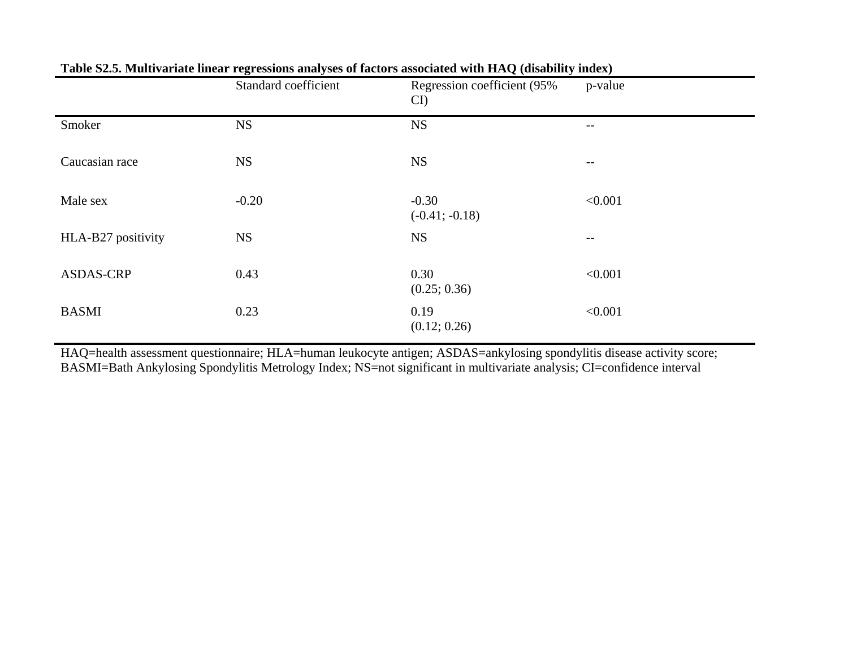|                    | Standard coefficient | Regression coefficient (95%<br>CI | p-value |
|--------------------|----------------------|-----------------------------------|---------|
| Smoker             | <b>NS</b>            | <b>NS</b>                         | --      |
| Caucasian race     | <b>NS</b>            | <b>NS</b>                         | $-\,-$  |
| Male sex           | $-0.20$              | $-0.30$<br>$(-0.41; -0.18)$       | < 0.001 |
| HLA-B27 positivity | <b>NS</b>            | <b>NS</b>                         | $- -$   |
| <b>ASDAS-CRP</b>   | 0.43                 | 0.30<br>(0.25; 0.36)              | < 0.001 |
| <b>BASMI</b>       | 0.23                 | 0.19<br>(0.12; 0.26)              | < 0.001 |

# **Table S2.5. Multivariate linear regressions analyses of factors associated with HAQ (disability index)**

HAQ=health assessment questionnaire; HLA=human leukocyte antigen; ASDAS=ankylosing spondylitis disease activity score; BASMI=Bath Ankylosing Spondylitis Metrology Index; NS=not significant in multivariate analysis; CI=confidence interval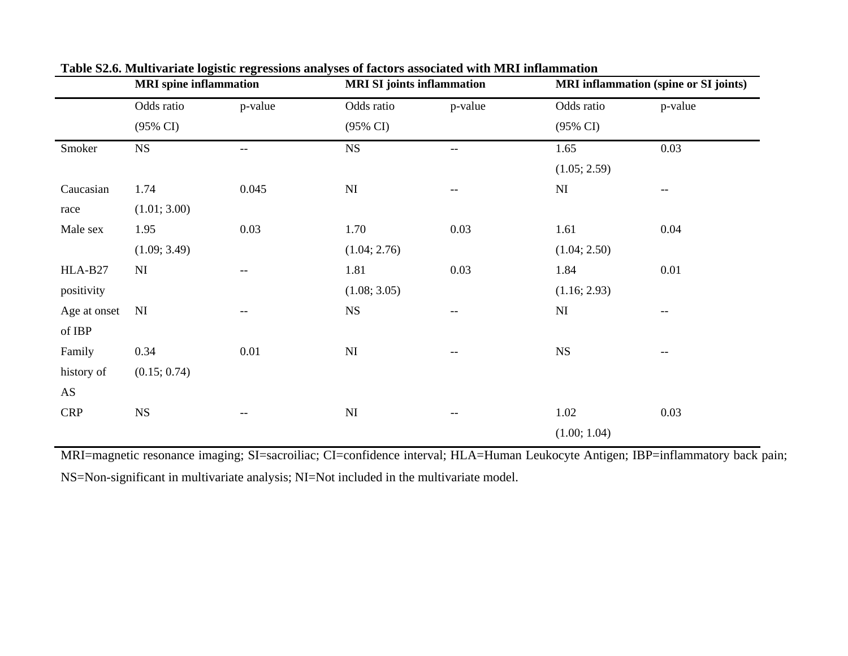|                     |          | <b>MRI SI</b> joints inflammation |                   | <b>MRI</b> inflammation (spine or SI joints) |                   |  |
|---------------------|----------|-----------------------------------|-------------------|----------------------------------------------|-------------------|--|
| Odds ratio          | p-value  | Odds ratio                        | p-value           | Odds ratio                                   | p-value           |  |
| $(95\% \text{ CI})$ |          | $(95\% \text{ CI})$               |                   | $(95\% \text{ CI})$                          |                   |  |
| $_{\rm NS}$         | --       | $_{\rm NS}$                       | $- -$             | 1.65                                         | 0.03              |  |
|                     |          |                                   |                   | (1.05; 2.59)                                 |                   |  |
| 1.74                | 0.045    | $\mathbf{N}\mathbf{I}$            | --                | $\mathbf{N}\mathbf{I}$                       | $-$               |  |
| (1.01; 3.00)        |          |                                   |                   |                                              |                   |  |
| 1.95                | 0.03     | 1.70                              | 0.03              | 1.61                                         | 0.04              |  |
| (1.09; 3.49)        |          | (1.04; 2.76)                      |                   | (1.04; 2.50)                                 |                   |  |
| NI                  | $-\,-$   | 1.81                              | 0.03              | 1.84                                         | 0.01              |  |
|                     |          | (1.08; 3.05)                      |                   | (1.16; 2.93)                                 |                   |  |
| NI                  | --       | $_{\rm NS}$                       | $-$               | $\mathbf{N}\mathbf{I}$                       | $\qquad \qquad -$ |  |
|                     |          |                                   |                   |                                              |                   |  |
| 0.34                | $0.01\,$ | $\mathbf{N}\mathbf{I}$            | $\qquad \qquad -$ | $_{\rm NS}$                                  | --                |  |
| (0.15; 0.74)        |          |                                   |                   |                                              |                   |  |
|                     |          |                                   |                   |                                              |                   |  |
| NS                  | --       | $\mathbf{N}\mathbf{I}$            | $-\, -$           | 1.02                                         | 0.03              |  |
|                     |          |                                   |                   | (1.00; 1.04)                                 |                   |  |
|                     |          | <b>MRI</b> spine inflammation     |                   |                                              |                   |  |

**Table S2.6. Multivariate logistic regressions analyses of factors associated with MRI inflammation** 

MRI=magnetic resonance imaging; SI=sacroiliac; CI=confidence interval; HLA=Human Leukocyte Antigen; IBP=inflammatory back pain; NS=Non-significant in multivariate analysis; NI=Not included in the multivariate model.